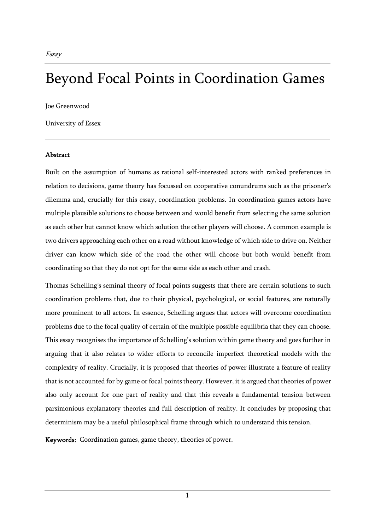# Beyond Focal Points in Coordination Games

Joe Greenwood

University of Essex

# Abstract

Built on the assumption of humans as rational self-interested actors with ranked preferences in relation to decisions, game theory has focussed on cooperative conundrums such as the prisoner's dilemma and, crucially for this essay, coordination problems. In coordination games actors have multiple plausible solutions to choose between and would benefit from selecting the same solution as each other but cannot know which solution the other players will choose. A common example is two drivers approaching each other on a road without knowledge of which side to drive on. Neither driver can know which side of the road the other will choose but both would benefit from coordinating so that they do not opt for the same side as each other and crash.

Thomas Schelling's seminal theory of focal points suggests that there are certain solutions to such coordination problems that, due to their physical, psychological, or social features, are naturally more prominent to all actors. In essence, Schelling argues that actors will overcome coordination problems due to the focal quality of certain of the multiple possible equilibria that they can choose. This essay recognises the importance of Schelling's solution within game theory and goes further in arguing that it also relates to wider efforts to reconcile imperfect theoretical models with the complexity of reality. Crucially, it is proposed that theories of power illustrate a feature of reality that is not accounted for by game or focal points theory. However, it is argued that theories of power also only account for one part of reality and that this reveals a fundamental tension between parsimonious explanatory theories and full description of reality. It concludes by proposing that determinism may be a useful philosophical frame through which to understand this tension.

Keywords: Coordination games, game theory, theories of power.

1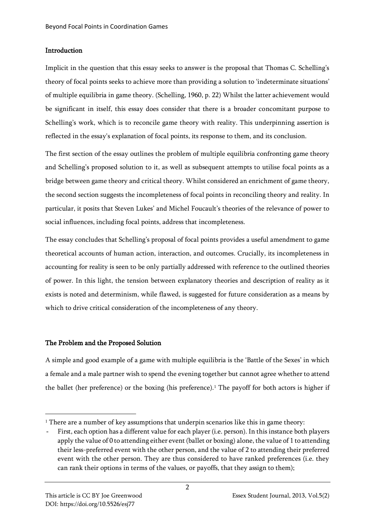### **Introduction**

Implicit in the question that this essay seeks to answer is the proposal that Thomas C. Schelling's theory of focal points seeks to achieve more than providing a solution to 'indeterminate situations' of multiple equilibria in game theory. (Schelling, 1960, p. 22) Whilst the latter achievement would be significant in itself, this essay does consider that there is a broader concomitant purpose to Schelling's work, which is to reconcile game theory with reality. This underpinning assertion is reflected in the essay's explanation of focal points, its response to them, and its conclusion.

The first section of the essay outlines the problem of multiple equilibria confronting game theory and Schelling's proposed solution to it, as well as subsequent attempts to utilise focal points as a bridge between game theory and critical theory. Whilst considered an enrichment of game theory, the second section suggests the incompleteness of focal points in reconciling theory and reality. In particular, it posits that Steven Lukes' and Michel Foucault's theories of the relevance of power to social influences, including focal points, address that incompleteness.

The essay concludes that Schelling's proposal of focal points provides a useful amendment to game theoretical accounts of human action, interaction, and outcomes. Crucially, its incompleteness in accounting for reality is seen to be only partially addressed with reference to the outlined theories of power. In this light, the tension between explanatory theories and description of reality as it exists is noted and determinism, while flawed, is suggested for future consideration as a means by which to drive critical consideration of the incompleteness of any theory.

## The Problem and the Proposed Solution

A simple and good example of a game with multiple equilibria is the 'Battle of the Sexes' in which a female and a male partner wish to spend the evening together but cannot agree whether to attend the ballet (her preference) or the boxing (his preference).<sup>1</sup> The payoff for both actors is higher if

<sup>&</sup>lt;sup>1</sup> There are a number of key assumptions that underpin scenarios like this in game theory:

First, each option has a different value for each player (i.e. person). In this instance both players apply the value of 0 to attending either event (ballet or boxing) alone, the value of 1 to attending their less-preferred event with the other person, and the value of 2 to attending their preferred event with the other person. They are thus considered to have ranked preferences (i.e. they can rank their options in terms of the values, or payoffs, that they assign to them);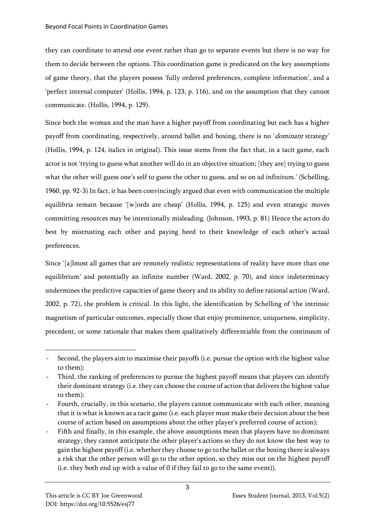they can coordinate to attend one event rather than go to separate events but there is no way for them to decide between the options. This coordination game is predicated on the key assumptions of game theory, that the players possess 'fully ordered preferences, complete information', and a 'perfect internal computer' (Hollis, 1994, p. 123, p. 116), and on the assumption that they cannot communicate. (Hollis, 1994, p. 129).

Since both the woman and the man have a higher payoff from coordinating but each has a higher payoff from coordinating, respectively, around ballet and boxing, there is no 'dominant strategy' (Hollis, 1994, p. 124, italics in original). This issue stems from the fact that, in a tacit game, each actor is not 'trying to guess what another will do in an objective situation; [they are] trying to guess what the other will guess one's self to guess the other to guess, and so on ad infinitum.' (Schelling, 1960, pp. 92-3) In fact, it has been convincingly argued that even with communication the multiple equilibria remain because '[w]ords are cheap' (Hollis, 1994, p. 125) and even strategic moves committing resources may be intentionally misleading. (Johnson, 1993, p. 81) Hence the actors do best by mistrusting each other and paying heed to their knowledge of each other's actual preferences.

Since '[a]lmost all games that are remotely realistic representations of reality have more than one equilibrium' and potentially an infinite number (Ward, 2002, p. 70), and since indeterminacy undermines the predictive capacities of game theory and its ability to define rational action (Ward, 2002, p. 72), the problem is critical. In this light, the identification by Schelling of 'the intrinsic magnetism of particular outcomes, especially those that enjoy prominence, uniqueness, simplicity, precedent, or some rationale that makes them qualitatively differentiable from the continuum of

<sup>-</sup> Second, the players aim to maximise their payoffs (i.e. pursue the option with the highest value to them);

Third, the ranking of preferences to pursue the highest payoff means that players can identify their dominant strategy (i.e. they can choose the course of action that delivers the highest value to them);

<sup>-</sup> Fourth, crucially, in this scenario, the players cannot communicate with each other, meaning that it is what is known as a tacit game (i.e. each player must make their decision about the best course of action based on assumptions about the other player's preferred course of action);

Fifth and finally, in this example, the above assumptions mean that players have no dominant strategy; they cannot anticipate the other player's actions so they do not know the best way to gain the highest payoff (i.e. whether they choose to go to the ballet or the boxing there is always a risk that the other person will go to the other option, so they miss out on the highest payoff (i.e. they both end up with a value of 0 if they fail to go to the same event)).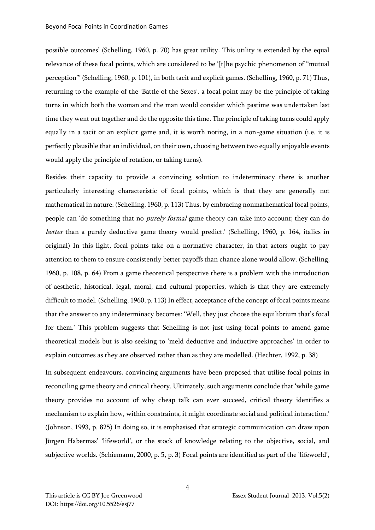possible outcomes' (Schelling, 1960, p. 70) has great utility. This utility is extended by the equal relevance of these focal points, which are considered to be '[t]he psychic phenomenon of "mutual perception"' (Schelling, 1960, p. 101), in both tacit and explicit games. (Schelling, 1960, p. 71) Thus, returning to the example of the 'Battle of the Sexes', a focal point may be the principle of taking turns in which both the woman and the man would consider which pastime was undertaken last time they went out together and do the opposite this time. The principle of taking turns could apply equally in a tacit or an explicit game and, it is worth noting, in a non-game situation (i.e. it is perfectly plausible that an individual, on their own, choosing between two equally enjoyable events would apply the principle of rotation, or taking turns).

Besides their capacity to provide a convincing solution to indeterminacy there is another particularly interesting characteristic of focal points, which is that they are generally not mathematical in nature. (Schelling, 1960, p. 113) Thus, by embracing nonmathematical focal points, people can 'do something that no purely formal game theory can take into account; they can do better than a purely deductive game theory would predict.' (Schelling, 1960, p. 164, italics in original) In this light, focal points take on a normative character, in that actors ought to pay attention to them to ensure consistently better payoffs than chance alone would allow. (Schelling, 1960, p. 108, p. 64) From a game theoretical perspective there is a problem with the introduction of aesthetic, historical, legal, moral, and cultural properties, which is that they are extremely difficult to model. (Schelling, 1960, p. 113) In effect, acceptance of the concept of focal points means that the answer to any indeterminacy becomes: 'Well, they just choose the equilibrium that's focal for them.' This problem suggests that Schelling is not just using focal points to amend game theoretical models but is also seeking to 'meld deductive and inductive approaches' in order to explain outcomes as they are observed rather than as they are modelled. (Hechter, 1992, p. 38)

In subsequent endeavours, convincing arguments have been proposed that utilise focal points in reconciling game theory and critical theory. Ultimately, such arguments conclude that 'while game theory provides no account of why cheap talk can ever succeed, critical theory identifies a mechanism to explain how, within constraints, it might coordinate social and political interaction.' (Johnson, 1993, p. 825) In doing so, it is emphasised that strategic communication can draw upon Jürgen Habermas' 'lifeworld', or the stock of knowledge relating to the objective, social, and subjective worlds. (Schiemann, 2000, p. 5, p. 3) Focal points are identified as part of the 'lifeworld',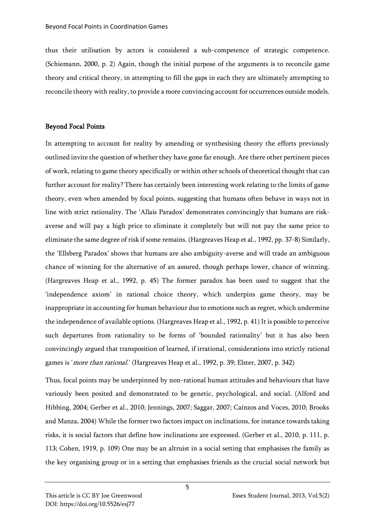thus their utilisation by actors is considered a sub-competence of strategic competence. (Schiemann, 2000, p. 2) Again, though the initial purpose of the arguments is to reconcile game theory and critical theory, in attempting to fill the gaps in each they are ultimately attempting to reconcile theory with reality, to provide a more convincing account for occurrences outside models.

# Beyond Focal Points

In attempting to account for reality by amending or synthesising theory the efforts previously outlined invite the question of whether they have gone far enough. Are there other pertinent pieces of work, relating to game theory specifically or within other schools of theoretical thought that can further account for reality? There has certainly been interesting work relating to the limits of game theory, even when amended by focal points, suggesting that humans often behave in ways not in line with strict rationality. The 'Allais Paradox' demonstrates convincingly that humans are riskaverse and will pay a high price to eliminate it completely but will not pay the same price to eliminate the same degree of risk if some remains. (Hargreaves Heap et al., 1992, pp. 37-8) Similarly, the 'Ellsberg Paradox' shows that humans are also ambiguity-averse and will trade an ambiguous chance of winning for the alternative of an assured, though perhaps lower, chance of winning. (Hargreaves Heap et al., 1992, p. 45) The former paradox has been used to suggest that the 'independence axiom' in rational choice theory, which underpins game theory, may be inappropriate in accounting for human behaviour due to emotions such as regret, which undermine the independence of available options. (Hargreaves Heap et al., 1992, p. 41) It is possible to perceive such departures from rationality to be forms of 'bounded rationality' but it has also been convincingly argued that transposition of learned, if irrational, considerations into strictly rational games is '*more than rational.*' (Hargreaves Heap et al., 1992, p. 39; Elster, 2007, p. 342)

Thus, focal points may be underpinned by non-rational human attitudes and behaviours that have variously been posited and demonstrated to be genetic, psychological, and social. (Alford and Hibbing, 2004; Gerber et al., 2010; Jennings, 2007; Saggar, 2007; Caínzos and Voces, 2010; Brooks and Manza, 2004) While the former two factors impact on inclinations, for instance towards taking risks, it is social factors that define how inclinations are expressed. (Gerber et al., 2010, p. 111, p. 113; Cohen, 1919, p. 109) One may be an altruist in a social setting that emphasises the family as the key organising group or in a setting that emphasises friends as the crucial social network but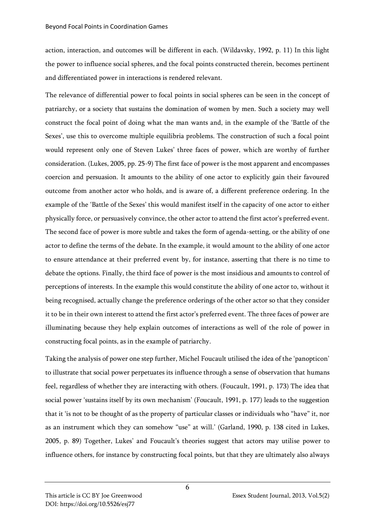action, interaction, and outcomes will be different in each. (Wildavsky, 1992, p. 11) In this light the power to influence social spheres, and the focal points constructed therein, becomes pertinent and differentiated power in interactions is rendered relevant.

The relevance of differential power to focal points in social spheres can be seen in the concept of patriarchy, or a society that sustains the domination of women by men. Such a society may well construct the focal point of doing what the man wants and, in the example of the 'Battle of the Sexes', use this to overcome multiple equilibria problems. The construction of such a focal point would represent only one of Steven Lukes' three faces of power, which are worthy of further consideration. (Lukes, 2005, pp. 25-9) The first face of power is the most apparent and encompasses coercion and persuasion. It amounts to the ability of one actor to explicitly gain their favoured outcome from another actor who holds, and is aware of, a different preference ordering. In the example of the 'Battle of the Sexes' this would manifest itself in the capacity of one actor to either physically force, or persuasively convince, the other actor to attend the first actor's preferred event. The second face of power is more subtle and takes the form of agenda-setting, or the ability of one actor to define the terms of the debate. In the example, it would amount to the ability of one actor to ensure attendance at their preferred event by, for instance, asserting that there is no time to debate the options. Finally, the third face of power is the most insidious and amounts to control of perceptions of interests. In the example this would constitute the ability of one actor to, without it being recognised, actually change the preference orderings of the other actor so that they consider it to be in their own interest to attend the first actor's preferred event. The three faces of power are illuminating because they help explain outcomes of interactions as well of the role of power in constructing focal points, as in the example of patriarchy.

Taking the analysis of power one step further, Michel Foucault utilised the idea of the 'panopticon' to illustrate that social power perpetuates its influence through a sense of observation that humans feel, regardless of whether they are interacting with others. (Foucault, 1991, p. 173) The idea that social power 'sustains itself by its own mechanism' (Foucault, 1991, p. 177) leads to the suggestion that it 'is not to be thought of as the property of particular classes or individuals who "have" it, nor as an instrument which they can somehow "use" at will.' (Garland, 1990, p. 138 cited in Lukes, 2005, p. 89) Together, Lukes' and Foucault's theories suggest that actors may utilise power to influence others, for instance by constructing focal points, but that they are ultimately also always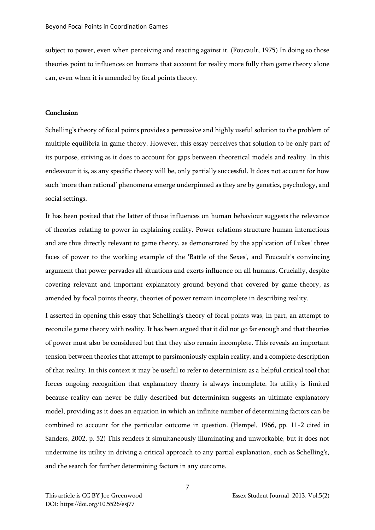subject to power, even when perceiving and reacting against it. (Foucault, 1975) In doing so those theories point to influences on humans that account for reality more fully than game theory alone can, even when it is amended by focal points theory.

#### Conclusion

Schelling's theory of focal points provides a persuasive and highly useful solution to the problem of multiple equilibria in game theory. However, this essay perceives that solution to be only part of its purpose, striving as it does to account for gaps between theoretical models and reality. In this endeavour it is, as any specific theory will be, only partially successful. It does not account for how such 'more than rational' phenomena emerge underpinned as they are by genetics, psychology, and social settings.

It has been posited that the latter of those influences on human behaviour suggests the relevance of theories relating to power in explaining reality. Power relations structure human interactions and are thus directly relevant to game theory, as demonstrated by the application of Lukes' three faces of power to the working example of the 'Battle of the Sexes', and Foucault's convincing argument that power pervades all situations and exerts influence on all humans. Crucially, despite covering relevant and important explanatory ground beyond that covered by game theory, as amended by focal points theory, theories of power remain incomplete in describing reality.

I asserted in opening this essay that Schelling's theory of focal points was, in part, an attempt to reconcile game theory with reality. It has been argued that it did not go far enough and that theories of power must also be considered but that they also remain incomplete. This reveals an important tension between theories that attempt to parsimoniously explain reality, and a complete description of that reality. In this context it may be useful to refer to determinism as a helpful critical tool that forces ongoing recognition that explanatory theory is always incomplete. Its utility is limited because reality can never be fully described but determinism suggests an ultimate explanatory model, providing as it does an equation in which an infinite number of determining factors can be combined to account for the particular outcome in question. (Hempel, 1966, pp. 11-2 cited in Sanders, 2002, p. 52) This renders it simultaneously illuminating and unworkable, but it does not undermine its utility in driving a critical approach to any partial explanation, such as Schelling's, and the search for further determining factors in any outcome.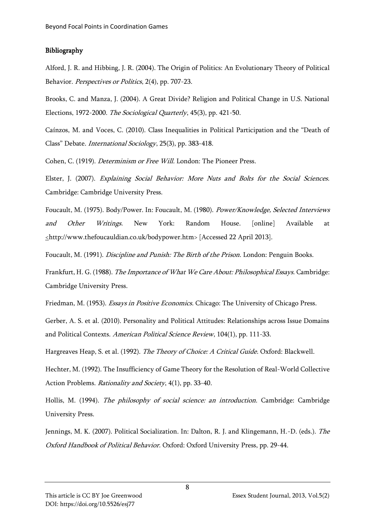#### Bibliography

Alford, J. R. and Hibbing, J. R. (2004). The Origin of Politics: An Evolutionary Theory of Political Behavior. Perspectives or Politics, 2(4), pp. 707-23.

Brooks, C. and Manza, J. (2004). A Great Divide? Religion and Political Change in U.S. National Elections, 1972-2000. The Sociological Quarterly, 45(3), pp. 421-50.

Caínzos, M. and Voces, C. (2010). Class Inequalities in Political Participation and the "Death of Class" Debate. International Sociology, 25(3), pp. 383-418.

Cohen, C. (1919). Determinism or Free Will. London: The Pioneer Press.

Elster, J. (2007). Explaining Social Behavior: More Nuts and Bolts for the Social Sciences. Cambridge: Cambridge University Press.

Foucault, M. (1975). Body/Power. In: Foucault, M. (1980). Power/Knowledge, Selected Interviews *and Other Writings.* New York: Random House. [online] Available at <http://www.thefoucauldian.co.uk/bodypower.htm> [Accessed 22 April 2013].

Foucault, M. (1991). Discipline and Punish: The Birth of the Prison. London: Penguin Books.

Frankfurt, H. G. (1988). The Importance of What We Care About: Philosophical Essays. Cambridge: Cambridge University Press.

Friedman, M. (1953). *Essays in Positive Economics.* Chicago: The University of Chicago Press.

Gerber, A. S. et al. (2010). Personality and Political Attitudes: Relationships across Issue Domains and Political Contexts. American Political Science Review, 104(1), pp. 111-33.

Hargreaves Heap, S. et al. (1992). The Theory of Choice: A Critical Guide. Oxford: Blackwell.

Hechter, M. (1992). The Insufficiency of Game Theory for the Resolution of Real-World Collective Action Problems. Rationality and Society, 4(1), pp. 33-40.

Hollis, M. (1994). The philosophy of social science: an introduction. Cambridge: Cambridge University Press.

Jennings, M. K. (2007). Political Socialization. In: Dalton, R. J. and Klingemann, H.-D. (eds.). The Oxford Handbook of Political Behavior. Oxford: Oxford University Press, pp. 29-44.